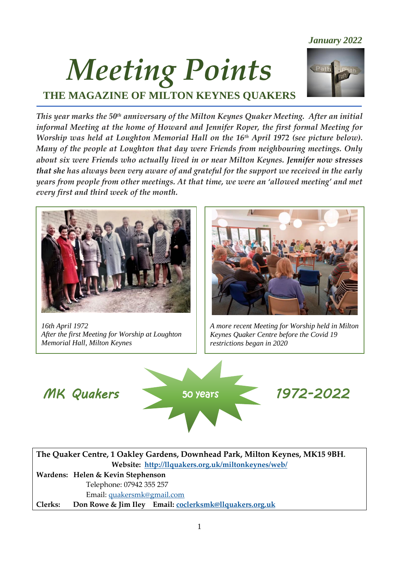# *Meeting Points* **THE MAGAZINE OF MILTON KEYNES QUAKERS**



*This year marks the 50th anniversary of the Milton Keynes Quaker Meeting. After an initial informal Meeting at the home of Howard and Jennifer Roper, the first formal Meeting for Worship was held at Loughton Memorial Hall on the 16th April 1972 (see picture below). Many of the people at Loughton that day were Friends from neighbouring meetings. Only about six were Friends who actually lived in or near Milton Keynes. Jennifer now stresses that she has always been very aware of and grateful for the support we received in the early years from people from other meetings. At that time, we were an 'allowed meeting' and met every first and third week of the month.*



*16th April 1972 After the first Meeting for Worship at Loughton Memorial Hall, Milton Keynes*



*A more recent Meeting for Worship held in Milton Keynes Quaker Centre before the Covid 19 restrictions began in 2020*



**The Quaker Centre, 1 Oakley Gardens, Downhead Park, Milton Keynes, MK15 9BH. Website:****<http://llquakers.org.uk/miltonkeynes/web/> Wardens: Helen & Kevin Stephenson** Telephone: 07942 355 257 Email: [quakersmk@gmail.com](mailto:quakersmk@gmail.com)  **Clerks: Don Rowe & Jim Iley Email: [coclerksmk@llquakers.org.uk](mailto:coclerksmk@llquakers.org.uk)**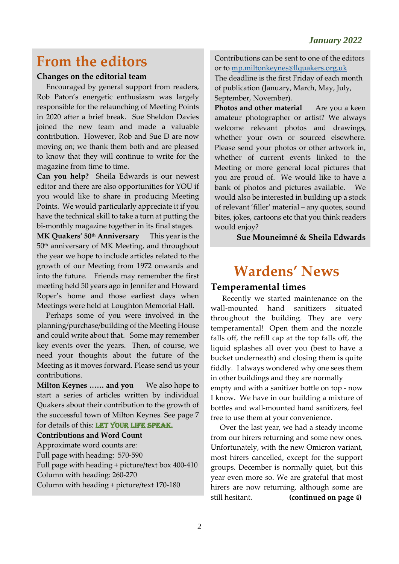### **From the editors**

#### **Changes on the editorial team**

 Encouraged by general support from readers, Rob Paton's energetic enthusiasm was largely responsible for the relaunching of Meeting Points in 2020 after a brief break. Sue Sheldon Davies joined the new team and made a valuable contribution. However, Rob and Sue D are now moving on; we thank them both and are pleased to know that they will continue to write for the magazine from time to time.

**Can you help?** Sheila Edwards is our newest editor and there are also opportunities for YOU if you would like to share in producing Meeting Points. We would particularly appreciate it if you have the technical skill to take a turn at putting the bi-monthly magazine together in its final stages.

**MK Quakers' 50th Anniversary** This year is the 50th anniversary of MK Meeting, and throughout the year we hope to include articles related to the growth of our Meeting from 1972 onwards and into the future. Friends may remember the first meeting held 50 years ago in Jennifer and Howard Roper's home and those earliest days when Meetings were held at Loughton Memorial Hall.

 Perhaps some of you were involved in the planning/purchase/building of the Meeting House and could write about that. Some may remember key events over the years. Then, of course, we need your thoughts about the future of the Meeting as it moves forward. Please send us your contributions.

**Milton Keynes ...... and you** We also hope to start a series of articles written by individual Quakers about their contribution to the growth of the successful town of Milton Keynes. See page 7 for details of this: LET YOUR LIFE SPEAK.

#### **Contributions and Word Count**

Approximate word counts are: Full page with heading: 570-590 Full page with heading + picture/text box 400-410 Column with heading: 260-270 Column with heading + picture/text 170-180

Contributions can be sent to one of the editors or to [mp.miltonkeynes@llquakers.org.uk](mailto:mp.miltonkeynes@llquakers.org.uk)

The deadline is the first Friday of each month of publication (January, March, May, July, September, November).

**Photos and other material** Are you a keen amateur photographer or artist? We always welcome relevant photos and drawings, whether your own or sourced elsewhere. Please send your photos or other artwork in, whether of current events linked to the Meeting or more general local pictures that you are proud of. We would like to have a bank of photos and pictures available. We would also be interested in building up a stock of relevant 'filler' material – any quotes, sound bites, jokes, cartoons etc that you think readers would enjoy?

#### **Sue Mouneimné & Sheila Edwards**

### **Wardens' News**

### **Temperamental times**

 Recently we started maintenance on the wall-mounted hand sanitizers situated throughout the building. They are very temperamental! Open them and the nozzle falls off, the refill cap at the top falls off, the liquid splashes all over you (best to have a bucket underneath) and closing them is quite fiddly. I always wondered why one sees them in other buildings and they are normally empty and with a sanitizer bottle on top - now I know. We have in our building a mixture of bottles and wall-mounted hand sanitizers, feel free to use them at your convenience.

 Over the last year, we had a steady income from our hirers returning and some new ones. Unfortunately, with the new Omicron variant, most hirers cancelled, except for the support groups. December is normally quiet, but this year even more so. We are grateful that most hirers are now returning, although some are still hesitant. **(continued on page 4)**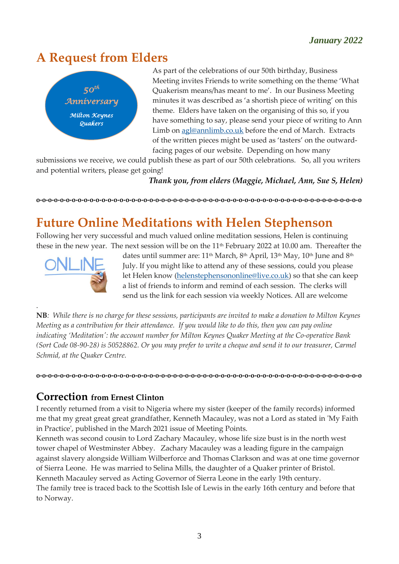## **A Request from Elders**



As part of the celebrations of our 50th birthday, Business Meeting invites Friends to write something on the theme 'What Quakerism means/has meant to me'. In our Business Meeting minutes it was described as 'a shortish piece of writing' on this theme. Elders have taken on the organising of this so, if you have something to say, please send your piece of writing to Ann Limb on [agl@annlimb.co.uk](mailto:agl@annlimb.co.uk) before the end of March. Extracts of the written pieces might be used as 'tasters' on the outwardfacing pages of our website. Depending on how many

submissions we receive, we could publish these as part of our 50th celebrations. So, all you writers and potential writers, please get going!

 *Thank you, from elders (Maggie, Michael, Ann, Sue S, Helen)*

**o-o-o-o-o-o-o-o-o-o-o-o-o-o-o-o-o-o-o-o-o-o-o-o-o-o-o-o-o-o-o-o-o-o-o-o-o-o-o-o-o-o-o-o-o-o-o-o-o-o-o-o-o-o-o**

## **Future Online Meditations with Helen Stephenson**

Following her very successful and much valued online meditation sessions, Helen is continuing these in the new year. The next session will be on the  $11<sup>th</sup>$  February 2022 at 10.00 am. Thereafter the



.

dates until summer are: 11<sup>th</sup> March, 8<sup>th</sup> April, 13<sup>th</sup> May, 10<sup>th</sup> June and 8<sup>th</sup> July. If you might like to attend any of these sessions, could you please let Helen know [\(helenstephensononline@live.co.uk\)](mailto:helenstephensononline@live.co.uk) so that she can keep a list of friends to inform and remind of each session. The clerks will send us the link for each session via weekly Notices. All are welcome

**NB***: While there is no charge for these sessions, participants are invited to make a donation to Milton Keynes Meeting as a contribution for their attendance. If you would like to do this, then you can pay online indicating 'Meditation': the account number for Milton Keynes Quaker Meeting at the Co-operative Bank (Sort Code 08-90-28) is 50528862. Or you may prefer to write a cheque and send it to our treasurer, Carmel Schmid, at the Quaker Centre.* 

**o-o-o-o-o-o-o-o-o-o-o-o-o-o-o-o-o-o-o-o-o-o-o-o-o-o-o-o-o-o-o-o-o-o-o-o-o-o-o-o-o-o-o-o-o-o-o-o-o-o-o-o-o-o-o**

### **Correction from Ernest Clinton**

I recently returned from a visit to Nigeria where my sister (keeper of the family records) informed me that my great great great grandfather, Kenneth Macauley, was not a Lord as stated in 'My Faith in Practice', published in the March 2021 issue of Meeting Points.

Kenneth was second cousin to Lord Zachary Macauley, whose life size bust is in the north west tower chapel of Westminster Abbey. Zachary Macauley was a leading figure in the campaign against slavery alongside William Wilberforce and Thomas Clarkson and was at one time governor of Sierra Leone. He was married to Selina Mills, the daughter of a Quaker printer of Bristol. Kenneth Macauley served as Acting Governor of Sierra Leone in the early 19th century. The family tree is traced back to the Scottish Isle of Lewis in the early 16th century and before that to Norway.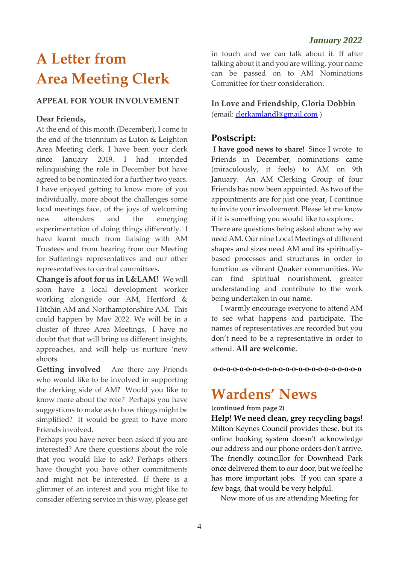# **A Letter from Area Meeting Clerk**

#### **APPEAL FOR YOUR INVOLVEMENT**

#### **Dear Friends,**

At the end of this month (December), I come to the end of the triennium as **L**uton & **L**eighton **A**rea **M**eeting clerk. I have been your clerk since January 2019. I had intended relinquishing the role in December but have agreed to be nominated for a further two years. I have enjoyed getting to know more of you individually, more about the challenges some local meetings face, of the joys of welcoming new attenders and the emerging experimentation of doing things differently. I have learnt much from liaising with AM Trustees and from hearing from our Meeting for Sufferings representatives and our other representatives to central committees.

**Change is afootfor us in L&LAM!** We will soon have a local development worker working alongside our AM, Hertford & Hitchin AM and Northamptonshire AM. This could happen by May 2022. We will be in a cluster of three Area Meetings. I have no doubt that that will bring us different insights, approaches, and will help us nurture 'new shoots.

**Getting involved** Are there any Friends who would like to be involved in supporting the clerking side of AM? Would you like to know more about the role? Perhaps you have suggestions to make as to how things might be simplified? It would be great to have more Friends involved.

Perhaps you have never been asked if you are interested? Are there questions about the role that you would like to ask? Perhaps others have thought you have other commitments and might not be interested. If there is a glimmer of an interest and you might like to consider offering service in this way, please get in touch and we can talk about it. If after talking about it and you are willing, your name can be passed on to AM Nominations Committee for their consideration.

**In Love and Friendship, Gloria Dobbin** (email: [clerkamlandl@gmail.com](mailto:clerkamlandl@gmail.com) )

#### **Postscript:**

**I have good news to share!** Since I wrote to Friends in December, nominations came (miraculously, it feels) to AM on 9th January. An AM Clerking Group of four Friends has now been appointed. As two of the appointments are for just one year, I continue to invite your involvement. Please let me know if it is something you would like to explore.

There are questions being asked about why we need AM. Our nine Local Meetings of different shapes and sizes need AM and its spirituallybased processes and structures in order to function as vibrant Quaker communities. We can find spiritual nourishment, greater understanding and contribute to the work being undertaken in our name.

 I warmly encourage everyone to attend AM to see what happens and participate. The names of representatives are recorded but you don't need to be a representative in order to attend. **All are welcome.**

**o-o-o-o-o-o-o-o-o-o-o-o-o-o-o-o-o-o-o-o-o-o-o**

### **Wardens' News**

**(continued from page 2)**

**Help! We need clean, grey recycling bags!** Milton Keynes Council provides these, but its online booking system doesn't acknowledge our address and our phone orders don't arrive. The friendly councillor for Downhead Park once delivered them to our door, but we feel he has more important jobs. If you can spare a few bags, that would be very helpful.

Now more of us are attending Meeting for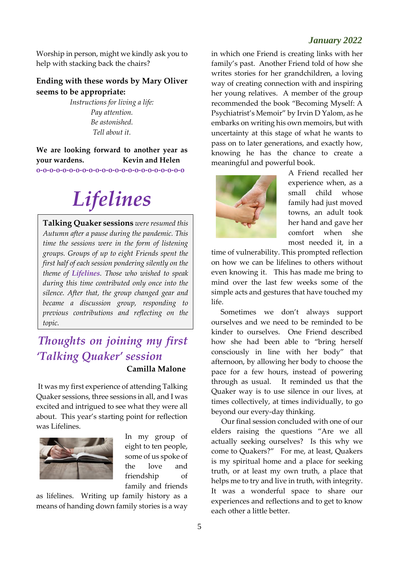Worship in person, might we kindly ask you to help with stacking back the chairs?

#### **Ending with these words by Mary Oliver seems to be appropriate:**

*Instructions for living a life: Pay attention. Be astonished. Tell about it.*

**We are looking forward to another year as your wardens. Kevin and Helen o-o-o-o-o-o-o-o-o-o-o-o-o-o-o-o-o-o-o-o-o-o-o**

# *Lifelines*

**Talking Quaker sessions** *were resumed this Autumn after a pause during the pandemic. This time the sessions were in the form of listening groups. Groups of up to eight Friends spent the first half of each session pondering silently on the theme of Lifelines. Those who wished to speak during this time contributed only once into the silence. After that, the group changed gear and became a discussion group, responding to previous contributions and reflecting on the topic.*

### *Thoughts on joining my first 'Talking Quaker' session*  **Camilla Malone**

It was my first experience of attending Talking Quaker sessions, three sessions in all, and I was excited and intrigued to see what they were all about. This year's starting point for reflection was Lifelines.



In my group of eight to ten people, some of us spoke of the love and friendship of family and friends

as lifelines. Writing up family history as a means of handing down family stories is a way

in which one Friend is creating links with her family's past. Another Friend told of how she writes stories for her grandchildren, a loving way of creating connection with and inspiring her young relatives. A member of the group recommended the book "Becoming Myself: A Psychiatrist's Memoir" by Irvin D Yalom, as he embarks on writing his own memoirs, but with uncertainty at this stage of what he wants to pass on to later generations, and exactly how, knowing he has the chance to create a meaningful and powerful book.



A Friend recalled her experience when, as a small child whose family had just moved towns, an adult took her hand and gave her comfort when she most needed it, in a

time of vulnerability. This prompted reflection on how we can be lifelines to others without even knowing it. This has made me bring to mind over the last few weeks some of the simple acts and gestures that have touched my life.

 Sometimes we don't always support ourselves and we need to be reminded to be kinder to ourselves. One Friend described how she had been able to "bring herself consciously in line with her body" that afternoon, by allowing her body to choose the pace for a few hours, instead of powering through as usual. It reminded us that the Quaker way is to use silence in our lives, at times collectively, at times individually, to go beyond our every-day thinking.

 Our final session concluded with one of our elders raising the questions "Are we all actually seeking ourselves? Is this why we come to Quakers?" For me, at least, Quakers is my spiritual home and a place for seeking truth, or at least my own truth, a place that helps me to try and live in truth, with integrity. It was a wonderful space to share our experiences and reflections and to get to know each other a little better.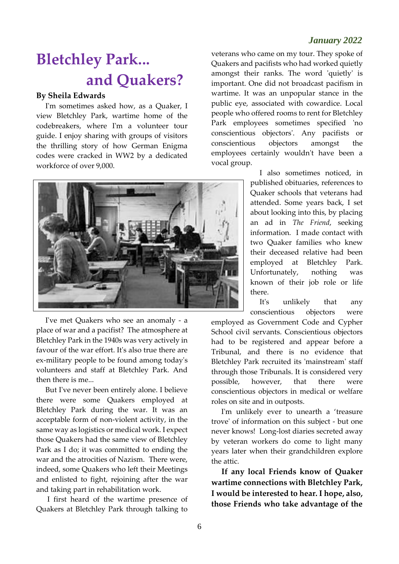# **Bletchley Park... and Quakers?**

#### **By Sheila Edwards**

 I'm sometimes asked how, as a Quaker, I view Bletchley Park, wartime home of the codebreakers, where I'm a volunteer tour guide. I enjoy sharing with groups of visitors the thrilling story of how German Enigma codes were cracked in WW2 by a dedicated workforce of over 9,000.



 I've met Quakers who see an anomaly - a place of war and a pacifist? The atmosphere at Bletchley Park in the 1940s was very actively in favour of the war effort. It's also true there are ex-military people to be found among today's volunteers and staff at Bletchley Park. And then there is me...

 But I've never been entirely alone. I believe there were some Quakers employed at Bletchley Park during the war. It was an acceptable form of non-violent activity, in the same way as logistics or medical work. I expect those Quakers had the same view of Bletchley Park as I do; it was committed to ending the war and the atrocities of Nazism. There were, indeed, some Quakers who left their Meetings and enlisted to fight, rejoining after the war and taking part in rehabilitation work.

 I first heard of the wartime presence of Quakers at Bletchley Park through talking to

veterans who came on my tour. They spoke of Quakers and pacifists who had worked quietly amongst their ranks. The word 'quietly' is important. One did not broadcast pacifism in wartime. It was an unpopular stance in the public eye, associated with cowardice. Local people who offered rooms to rent for Bletchley Park employees sometimes specified 'no conscientious objectors'. Any pacifists or conscientious objectors amongst the employees certainly wouldn't have been a vocal group.

> I also sometimes noticed, in published obituaries, references to Quaker schools that veterans had attended. Some years back, I set about looking into this, by placing an ad in *The Friend*, seeking information. I made contact with two Quaker families who knew their deceased relative had been employed at Bletchley Park. Unfortunately, nothing was known of their job role or life there.

> It's unlikely that any conscientious objectors were

employed as Government Code and Cypher School civil servants. Conscientious objectors had to be registered and appear before a Tribunal, and there is no evidence that Bletchley Park recruited its 'mainstream' staff through those Tribunals. It is considered very possible, however, that there were conscientious objectors in medical or welfare roles on site and in outposts.

 I'm unlikely ever to unearth a 'treasure trove' of information on this subject - but one never knows! Long-lost diaries secreted away by veteran workers do come to light many years later when their grandchildren explore the attic.

 **If any local Friends know of Quaker wartime connections with Bletchley Park, I would be interested to hear. I hope, also, those Friends who take advantage of the**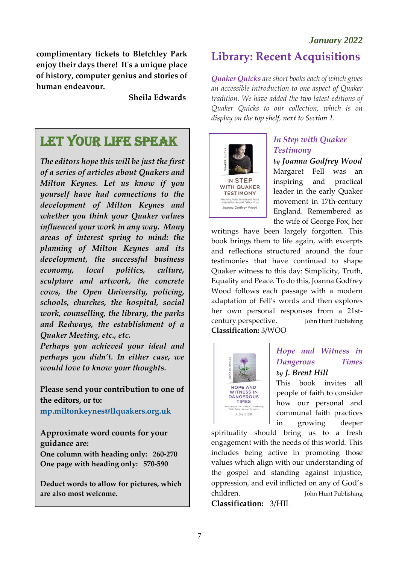**complimentary tickets to Bletchley Park enjoy their days there! It's a unique place of history, computer genius and stories of human endeavour.** 

 **Sheila Edwards**

## LET YOUR LIFE SPEAK

*The editors hope this will be just the first of a series of articles about Quakers and Milton Keynes. Let us know if you yourself have had connections to the development of Milton Keynes and whether you think your Quaker values influenced your work in any way. Many areas of interest spring to mind: the planning of Milton Keynes and its development, the successful business economy, local politics, culture, sculpture and artwork, the concrete cows, the Open University, policing, schools, churches, the hospital, social work, counselling, the library, the parks and Redways, the establishment of a Quaker Meeting, etc., etc.*

*Perhaps you achieved your ideal and perhaps you didn't. In either case, we would love to know your thoughts.*

**Please send your contribution to one of the editors, or to:**

**[mp.miltonkeynes@llquakers.org.uk](mailto:mp.miltonkeynes@llquakers.org.uk)**

**Approximate word counts for your guidance are: One column with heading only: 260-270 One page with heading only: 570-590**

**Deduct words to allow for pictures, which are also most welcome.**  $\overline{a}$ 

### **Library: Recent Acquisitions**

*Quaker Quicks are short books each of which gives an accessible introduction to one aspect of Quaker tradition. We have added the two latest editions of Quaker Quicks to our collection, which is on display on the top shelf, next to Section 1.*



### *In Step with Quaker Testimony*

*by Joanna Godfrey Wood* 

Margaret Fell was an inspiring and practical leader in the early Quaker movement in 17th-century England. Remembered as the wife of George Fox, her

writings have been largely forgotten. This book brings them to life again, with excerpts and reflections structured around the four testimonies that have continued to shape Quaker witness to this day: Simplicity, Truth, Equality and Peace. To do this, Joanna Godfrey Wood follows each passage with a modern adaptation of Fell's words and then explores her own personal responses from a 21stcentury perspective. John Hunt Publishing **Classification:** 3/WOO



### *Hope and Witness in Dangerous Times by J. Brent Hill*

This book invites all people of faith to consider how our personal and communal faith practices in growing deeper

spirituality should bring us to a fresh engagement with the needs of this world. This includes being active in promoting those values which align with our understanding of the gospel and standing against injustice, oppression, and evil inflicted on any of God's children. John Hunt Publishing

**Classification:** 3/HIL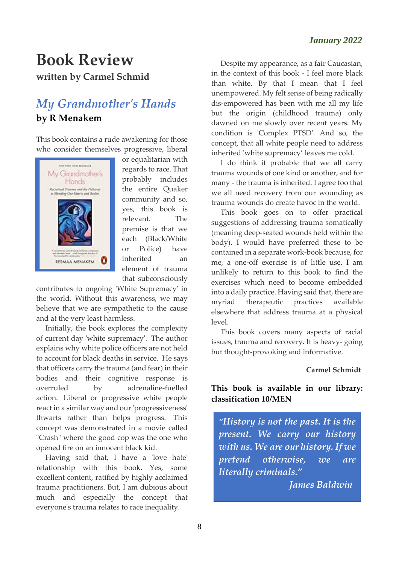### **Book Review written by Carmel Schmid**

### *My Grandmother's Hands* **by R Menakem**

This book contains a rude awakening for those who consider themselves progressive, liberal



or equalitarian with regards to race. That probably includes the entire Quaker community and so, yes, this book is relevant. The premise is that we each (Black/White or Police) have inherited an element of trauma that subconsciously

contributes to ongoing 'White Supremacy' in the world. Without this awareness, we may believe that we are sympathetic to the cause and at the very least harmless.

 Initially, the book explores the complexity of current day 'white supremacy'. The author explains why white police officers are not held to account for black deaths in service. He says that officers carry the trauma (and fear) in their bodies and their cognitive response is overruled by adrenaline-fuelled action. Liberal or progressive white people react in a similar way and our'progressiveness' thwarts rather than helps progress. This concept was demonstrated in a movie called "Crash" where the good cop was the one who opened fire on an innocent black kid.

 Having said that, I have a 'love hate' relationship with this book. Yes, some excellent content, ratified by highly acclaimed trauma practitioners. But, I am dubious about much and especially the concept that everyone's trauma relates to race inequality.

 Despite my appearance, as a fair Caucasian, in the context of this book - I feel more black than white. By that I mean that I feel unempowered. My felt sense of being radically dis-empowered has been with me all my life but the origin (childhood trauma) only dawned on me slowly over recent years. My condition is 'Complex PTSD'. And so, the concept, that all white people need to address inherited 'white supremacy' leaves me cold.

 I do think it probable that we all carry trauma wounds of one kind or another, and for many - the trauma is inherited. I agree too that we all need recovery from our wounding as trauma wounds do create havoc in the world.

 This book goes on to offer practical suggestions of addressing trauma somatically (meaning deep-seated wounds held within the body). I would have preferred these to be contained in a separate work-book because, for me, a one-off exercise is of little use. I am unlikely to return to this book to find the exercises which need to become embedded into a daily practice. Having said that, there are myriad therapeutic practices available elsewhere that address trauma at a physical level.

 This book covers many aspects of racial issues, trauma and recovery. It is heavy- going but thought-provoking and informative.

#### **Carmel Schmidt**

### **This book is available in our library: classification 10/MEN**

*"History is not the past. It is the present. We carry our history with us. We are our history. If we pretend otherwise, we are literally criminals."* 

 *James Baldwin*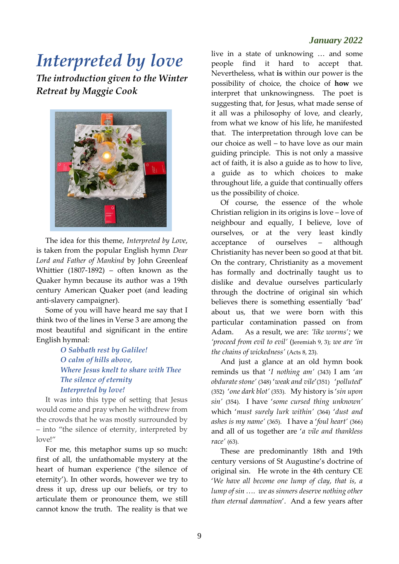# *Interpreted by love*

*The introduction given to the Winter Retreat by Maggie Cook* 



 The idea for this theme, *Interpreted by Love*, is taken from the popular English hymn *Dear Lord and Father of Mankind* by John Greenleaf Whittier (1807-1892) – often known as the Quaker hymn because its author was a 19th century American Quaker poet (and leading anti-slavery campaigner).

 Some of you will have heard me say that I think two of the lines in Verse 3 are among the most beautiful and significant in the entire English hymnal:

> *O Sabbath rest by Galilee! O calm of hills above, Where Jesus knelt to share with Thee The silence of eternity Interpreted by love!*

 It was into this type of setting that Jesus would come and pray when he withdrew from the crowds that he was mostly surrounded by – into "the silence of eternity, interpreted by love!"

 For me, this metaphor sums up so much: first of all, the unfathomable mystery at the heart of human experience ('the silence of eternity'). In other words, however we try to dress it up, dress up our beliefs, or try to articulate them or pronounce them, we still cannot know the truth. The reality is that we

live in a state of unknowing … and some people find it hard to accept that. Nevertheless, what **is** within our power is the possibility of choice, the choice of **how** we interpret that unknowingness. The poet is suggesting that, for Jesus, what made sense of it all was a philosophy of love, and clearly, from what we know of his life, he manifested that. The interpretation through love can be our choice as well – to have love as our main guiding principle. This is not only a massive act of faith, it is also a guide as to how to live, a guide as to which choices to make throughout life, a guide that continually offers us the possibility of choice.

 Of course, the essence of the whole Christian religion in its origins is love – love of neighbour and equally, I believe, love of ourselves, or at the very least kindly acceptance of ourselves – although Christianity has never been so good at that bit. On the contrary, Christianity as a movement has formally and doctrinally taught us to dislike and devalue ourselves particularly through the doctrine of original sin which believes there is something essentially 'bad' about us, that we were born with this particular contamination passed on from Adam. As a result, we are: *'like worms';* we *'proceed from evil to evil'* (Jeremiah 9, 3); *we are 'in the chains of wickedness'* (Acts 8, 23).

 And just a glance at an old hymn book reminds us that '*I nothing am'* (343) I am '*an obdurate stone'* (348) '*weak and vile*'(351) '*polluted*' (352) '*one dark blot'* (353). My history is '*sin upon sin'* (354). I have '*some cursed thing unknown'* which '*must surely lurk within'* (364) '*dust and ashes is my name'* (365). I have a '*foul heart'* (366) and all of us together are '*a vile and thankless race'* (63).

 These are predominantly 18th and 19th century versions of St Augustine's doctrine of original sin. He wrote in the 4th century CE '*We have all become one lump of clay, that is, a lump of sin …. we as sinners deserve nothing other than eternal damnation*'. And a few years after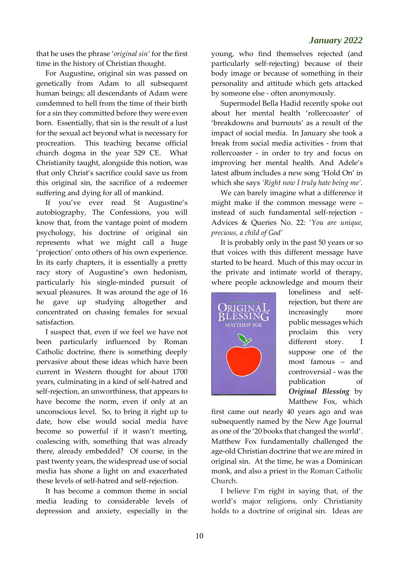that he uses the phrase '*original sin'* for the first time in the history of Christian thought.

 For Augustine, original sin was passed on genetically from Adam to all subsequent human beings; all descendants of Adam were condemned to hell from the time of their birth for a sin they committed before they were even born. Essentially, that sin is the result of a lust for the sexual act beyond what is necessary for procreation. This teaching became official church dogma in the year 529 CE. What Christianity taught, alongside this notion, was that only Christ's sacrifice could save us from this original sin, the sacrifice of a redeemer suffering and dying for all of mankind.

 If you've ever read St Augustine's autobiography, The Confessions, you will know that, from the vantage point of modern psychology, his doctrine of original sin represents what we might call a huge 'projection' onto others of his own experience. In its early chapters, it is essentially a pretty racy story of Augustine's own hedonism, particularly his single-minded pursuit of sexual pleasures. It was around the age of 16 he gave up studying altogether and concentrated on chasing females for sexual satisfaction.

 I suspect that, even if we feel we have not been particularly influenced by Roman Catholic doctrine, there is something deeply pervasive about these ideas which have been current in Western thought for about 1700 years, culminating in a kind of self-hatred and self-rejection, an unworthiness, that appears to have become the norm, even if only at an unconscious level. So, to bring it right up to date, how else would social media have become so powerful if it wasn't meeting, coalescing with, something that was already there, already embedded? Of course, in the past twenty years, the widespread use of social media has shone a light on and exacerbated these levels of self-hatred and self-rejection.

 It has become a common theme in social media leading to considerable levels of depression and anxiety, especially in the

young, who find themselves rejected (and particularly self-rejecting) because of their body image or because of something in their personality and attitude which gets attacked by someone else - often anonymously.

 Supermodel Bella Hadid recently spoke out about her mental health 'rollercoaster' of 'breakdowns and burnouts' as a result of the impact of social media. In January she took a break from social media activities - from that rollercoaster - in order to try and focus on improving her mental health. And Adele's latest album includes a new song 'Hold On' in which she says *'Right now I truly hate being me'.*

 We can barely imagine what a difference it might make if the common message were – instead of such fundamental self-rejection - Advices & Queries No. 22: '*You are unique, precious, a child of God'*

 It is probably only in the past 50 years or so that voices with this different message have started to be heard. Much of this may occur in the private and intimate world of therapy, where people acknowledge and mourn their



loneliness and selfrejection, but there are increasingly more public messages which proclaim this very different story. I suppose one of the most famous – and controversial - was the publication of *Original Blessing* by Matthew Fox, which

first came out nearly 40 years ago and was subsequently named by the New Age Journal as one of the '20 books that changed the world'. Matthew Fox fundamentally challenged the age-old Christian doctrine that we are mired in original sin. At the time, he was a Dominican monk, and also a priest in the Roman Catholic Church.

 I believe I'm right in saying that, of the world's major religions, only Christianity holds to a doctrine of original sin. Ideas are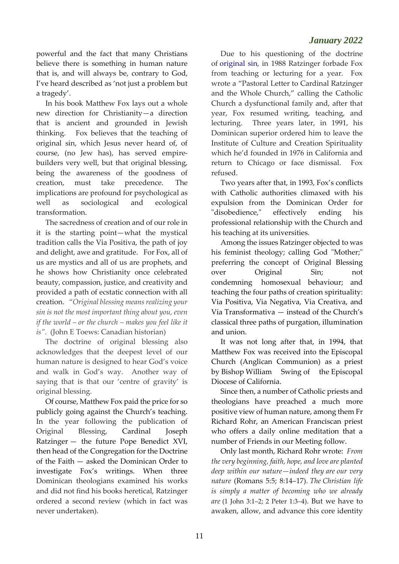powerful and the fact that many Christians believe there is something in human nature that is, and will always be, contrary to God, I've heard described as 'not just a problem but a tragedy'.

 In his book Matthew Fox lays out a whole new direction for Christianity—a direction that is ancient and grounded in Jewish thinking. Fox believes that the teaching of original sin, which Jesus never heard of, of course, (no Jew has), has served empirebuilders very well, but that original blessing, being the awareness of the goodness of creation, must take precedence. The implications are profound for psychological as well as sociological and ecological transformation.

 The sacredness of creation and of our role in it is the starting point—what the mystical tradition calls the Via Positiva, the path of joy and delight, awe and gratitude. For Fox, all of us are mystics and all of us are prophets, and he shows how Christianity once celebrated beauty, compassion, justice, and creativity and provided a path of ecstatic connection with all creation. "*Original blessing means realizing your sin is not the most important thing about you, even if the world – or the church – makes you feel like it is"*. (John E Toews: Canadian historian)

 The doctrine of original blessing also acknowledges that the deepest level of our human nature is designed to hear God's voice and walk in God's way. Another way of saying that is that our 'centre of gravity' is original blessing.

 Of course, Matthew Fox paid the price for so publicly going against the Church's teaching. In the year following the publication of Original Blessing, [Cardinal Joseph](https://en.wikipedia.org/wiki/Pope_Benedict_XVI)  [Ratzinger](https://en.wikipedia.org/wiki/Pope_Benedict_XVI) — the future Pope Benedict XVI, then head of the [Congregation for the Doctrine](https://en.wikipedia.org/wiki/Congregation_for_the_Doctrine_of_the_Faith)  [of the Faith](https://en.wikipedia.org/wiki/Congregation_for_the_Doctrine_of_the_Faith) — asked the Dominican Order to investigate Fox's writings. When three Dominican theologians examined his works and did not find his books heretical, Ratzinger ordered a second review (which in fact was never undertaken).

 Due to his questioning of the doctrine of [original sin,](https://en.wikipedia.org/wiki/Original_sin) in 1988 Ratzinger forbade Fox from teaching or lecturing for a year. Fox wrote a "Pastoral Letter to Cardinal Ratzinger and the Whole Church," calling the Catholic Church a dysfunctional family and, after that year, Fox resumed writing, teaching, and lecturing. Three years later, in 1991, his Dominican superior ordered him to leave the Institute of Culture and Creation Spirituality which he'd founded in 1976 in California and return to Chicago or face dismissal. Fox refused.

 Two years after that, in 1993, Fox's conflicts with Catholic authorities climaxed with his expulsion from the Dominican Order for "disobedience," effectively ending his professional relationship with the Church and his teaching at its universities.

 Among the issues Ratzinger objected to was his feminist theology; calling God "Mother;" preferring the concept of Original Blessing over Original Sin; not condemning homosexual behaviour; and teaching the four paths of creation spirituality: Via Positiva, Via Negativa, Via Creativa, and Via Transformativa — instead of the Church's classical three paths of purgation, illumination and union.

 It was not long after that, in 1994, that Matthew Fox was received into the [Episcopal](https://en.wikipedia.org/wiki/Episcopal_Church_(United_States))  [Church \(](https://en.wikipedia.org/wiki/Episcopal_Church_(United_States))[Anglican Communion\)](https://en.wikipedia.org/wiki/Anglican_Communion) as a priest by [Bishop](https://en.wikipedia.org/wiki/Bishop) [William Swing](https://en.wikipedia.org/wiki/William_Swing) of the [Episcopal](https://en.wikipedia.org/wiki/Episcopal_Diocese_of_California)  [Diocese of California.](https://en.wikipedia.org/wiki/Episcopal_Diocese_of_California)

 Since then, a number of Catholic priests and theologians have preached a much more positive view of human nature, among them Fr Richard Rohr, an American Franciscan priest who offers a daily online meditation that a number of Friends in our Meeting follow.

 Only last month, Richard Rohr wrote: *From the very beginning, faith, hope, and love are planted deep within our nature—indeed they are our very nature* (Romans 5:5; 8:14–17). *The Christian life is simply a matter of becoming who we already are* (1 John 3:1–2; 2 Peter 1:3–4). But we have to awaken, allow, and advance this core identity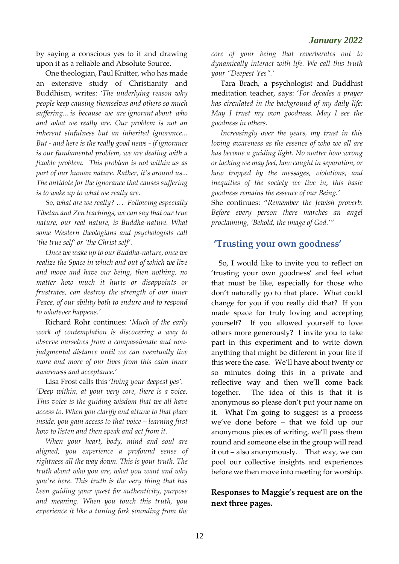by saying a conscious yes to it and drawing upon it as a reliable and Absolute Source.

 One theologian, Paul Knitter, who has made an extensive study of Christianity and Buddhism, writes: *'The underlying reason why people keep causing themselves and others so much suffering... is because we are ignorant about who and what we really are. Our problem is not an inherent sinfulness but an inherited ignorance... But - and here is the really good news - if ignorance is our fundamental problem, we are dealing with a fixable problem. This problem is not within us as part of our human nature. Rather, it's around us... The antidote for the ignorance that causes suffering is to wake up to what we really are.*

 *So, what are we really? … Following especially Tibetan and Zen teachings, we can say that our true nature, our real nature, is Buddha-nature. What some Western theologians and psychologists call 'the true self' or 'the Christ self'.*

 *Once we wake up to our Buddha-nature, once we realize the Space in which and out of which we live and move and have our being, then nothing, no matter how much it hurts or disappoints or frustrates, can destroy the strength of our inner Peace, of our ability both to endure and to respond to whatever happens.'*

 Richard Rohr continues: '*Much of the early work of contemplation is discovering a way to observe ourselves from a compassionate and nonjudgmental distance until we can eventually live more and more of our lives from this calm inner awareness and acceptance.'*

 Lisa Frost calls this '*living your deepest yes'.* '*Deep within, at your very core, there is a voice. This voice is the guiding wisdom that we all have access to. When you clarify and attune to that place inside, you gain access to that voice – learning first how to listen and then speak and act from it.* 

 *When your heart, body, mind and soul are aligned, you experience a profound sense of rightness all the way down. This is your truth. The truth about who you are, what you want and why you're here. This truth is the very thing that has been guiding your quest for authenticity, purpose and meaning. When you touch this truth, you experience it like a tuning fork sounding from the* 

*core of your being that reverberates out to dynamically interact with life. We call this truth your "Deepest Yes".'*

 Tara Brach, a psychologist and Buddhist meditation teacher, says: '*For decades a prayer has circulated in the background of my daily life: May I trust my own goodness. May I see the goodness in others.* 

 *Increasingly over the years, my trust in this loving awareness as the essence of who we all are has become a guiding light. No matter how wrong or lacking we may feel, how caught in separation, or how trapped by the messages, violations, and inequities of the society we live in, this basic goodness remains the essence of our Being.'*

She continues: "*Remember the Jewish proverb*: *Before every person there marches an angel proclaiming, 'Behold, the image of God.'"* 

### **'Trusting your own goodness'**

 So, I would like to invite you to reflect on 'trusting your own goodness' and feel what that must be like, especially for those who don't naturally go to that place. What could change for you if you really did that? If you made space for truly loving and accepting yourself? If you allowed yourself to love others more generously? I invite you to take part in this experiment and to write down anything that might be different in your life if this were the case. We'll have about twenty or so minutes doing this in a private and reflective way and then we'll come back together. The idea of this is that it is anonymous so please don't put your name on it. What I'm going to suggest is a process we've done before – that we fold up our anonymous pieces of writing, we'll pass them round and someone else in the group will read it out – also anonymously. That way, we can pool our collective insights and experiences before we then move into meeting for worship.

#### **Responses to Maggie's request are on the next three pages.**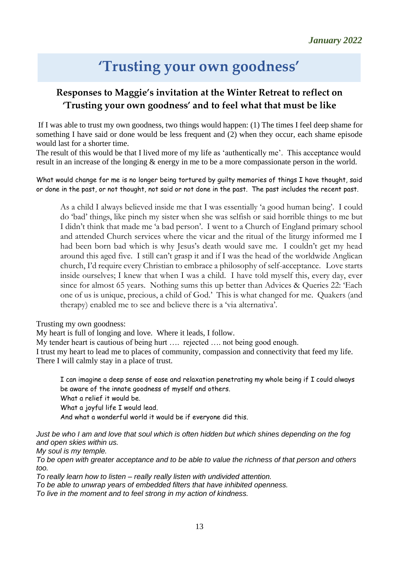# **'Trusting your own goodness'**

### **Responses to Maggie's invitation at the Winter Retreat to reflect on 'Trusting your own goodness' and to feel what that must be like**

If I was able to trust my own goodness, two things would happen: (1) The times I feel deep shame for something I have said or done would be less frequent and (2) when they occur, each shame episode would last for a shorter time.

The result of this would be that I lived more of my life as 'authentically me'. This acceptance would result in an increase of the longing & energy in me to be a more compassionate person in the world.

What would change for me is no longer being tortured by guilty memories of things I have thought, said or done in the past, or not thought, not said or not done in the past. The past includes the recent past.

As a child I always believed inside me that I was essentially 'a good human being'. I could do 'bad' things, like pinch my sister when she was selfish or said horrible things to me but I didn't think that made me 'a bad person'. I went to a Church of England primary school and attended Church services where the vicar and the ritual of the liturgy informed me I had been born bad which is why Jesus's death would save me. I couldn't get my head around this aged five. I still can't grasp it and if I was the head of the worldwide Anglican church, I'd require every Christian to embrace a philosophy of self-acceptance. Love starts inside ourselves; I knew that when I was a child. I have told myself this, every day, ever since for almost 65 years. Nothing sums this up better than Advices & Queries 22: 'Each one of us is unique, precious, a child of God.' This is what changed for me. Quakers (and therapy) enabled me to see and believe there is a 'via alternativa'.

Trusting my own goodness:

My heart is full of longing and love. Where it leads, I follow.

My tender heart is cautious of being hurt …. rejected …. not being good enough.

I trust my heart to lead me to places of community, compassion and connectivity that feed my life. There I will calmly stay in a place of trust.

I can imagine a deep sense of ease and relaxation penetrating my whole being if I could always be aware of the innate goodness of myself and others. What a relief it would be.

What a joyful life I would lead.

And what a wonderful world it would be if everyone did this.

*Just be who I am and love that soul which is often hidden but which shines depending on the fog and open skies within us.* 

*My soul is my temple.*

*To be open with greater acceptance and to be able to value the richness of that person and others too.*

*To really learn how to listen – really really listen with undivided attention.*

*To be able to unwrap years of embedded filters that have inhibited openness.*

*To live in the moment and to feel strong in my action of kindness.*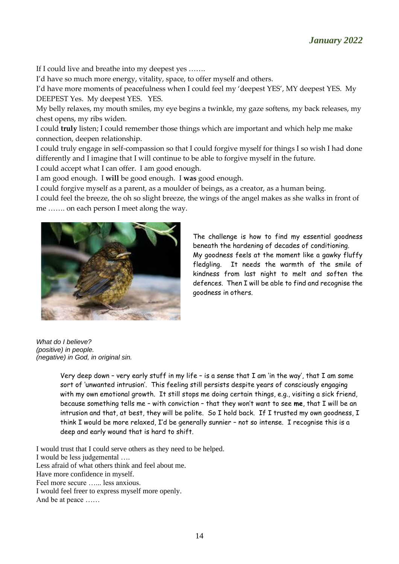If I could live and breathe into my deepest yes …….

I'd have so much more energy, vitality, space, to offer myself and others.

I'd have more moments of peacefulness when I could feel my 'deepest YES', MY deepest YES. My DEEPEST Yes. My deepest YES. YES.

My belly relaxes, my mouth smiles, my eye begins a twinkle, my gaze softens, my back releases, my chest opens, my ribs widen.

I could **truly** listen; I could remember those things which are important and which help me make connection, deepen relationship.

I could truly engage in self-compassion so that I could forgive myself for things I so wish I had done differently and I imagine that I will continue to be able to forgive myself in the future.

I could accept what I can offer. I am good enough.

I am good enough. I **will** be good enough. I **was** good enough.

I could forgive myself as a parent, as a moulder of beings, as a creator, as a human being.

I could feel the breeze, the oh so slight breeze, the wings of the angel makes as she walks in front of me ……. on each person I meet along the way.



The challenge is how to find my essential goodness beneath the hardening of decades of conditioning. My goodness feels at the moment like a gawky fluffy fledgling. It needs the warmth of the smile of kindness from last night to melt and soften the defences. Then I will be able to find and recognise the goodness in others.

*What do I believe? (positive) in people. (negative) in God, in original sin.*

Very deep down - very early stuff in my life - is a sense that  $\Gamma$  am 'in the way', that  $\Gamma$  am some sort of 'unwanted intrusion'. This feeling still persists despite years of consciously engaging with my own emotional growth. It still stops me doing certain things, e.g., visiting a sick friend, because something tells me – with conviction – that they won't want to see **me**, that I will be an intrusion and that, at best, they will be polite. So I hold back. If I trusted my own goodness, I think I would be more relaxed, I'd be generally sunnier – not so intense. I recognise this is a deep and early wound that is hard to shift.

I would trust that I could serve others as they need to be helped. I would be less judgemental …. Less afraid of what others think and feel about me. Have more confidence in myself. Feel more secure …... less anxious. I would feel freer to express myself more openly. And be at peace ……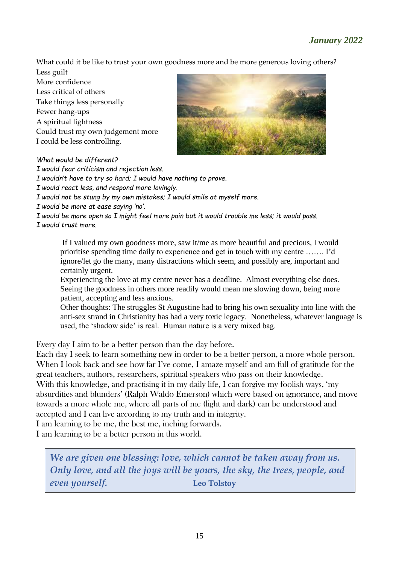What could it be like to trust your own goodness more and be more generous loving others?

Less guilt More confidence Less critical of others Take things less personally Fewer hang-ups A spiritual lightness Could trust my own judgement more I could be less controlling.



#### *What would be different?*

*I would fear criticism and rejection less.*

*I wouldn't have to try so hard; I would have nothing to prove.*

*I would react less, and respond more lovingly.*

*I would not be stung by my own mistakes; I would smile at myself more.*

*I would be more at ease saying 'no'.*

*I would be more open so I might feel more pain but it would trouble me less; it would pass. I would trust more.*

If I valued my own goodness more, saw it/me as more beautiful and precious, I would prioritise spending time daily to experience and get in touch with my centre ……. I'd ignore/let go the many, many distractions which seem, and possibly are, important and certainly urgent.

Experiencing the love at my centre never has a deadline. Almost everything else does. Seeing the goodness in others more readily would mean me slowing down, being more patient, accepting and less anxious.

Other thoughts: The struggles St Augustine had to bring his own sexuality into line with the anti-sex strand in Christianity has had a very toxic legacy. Nonetheless, whatever language is used, the 'shadow side' is real. Human nature is a very mixed bag.

Every day I aim to be a better person than the day before.

Each day I seek to learn something new in order to be a better person, a more whole person. When I look back and see how far I've come, I amaze myself and am full of gratitude for the great teachers, authors, researchers, spiritual speakers who pass on their knowledge. With this knowledge, and practising it in my daily life, I can forgive my foolish ways, 'my absurdities and blunders' (Ralph Waldo Emerson) which were based on ignorance, and move towards a more whole me, where all parts of me (light and dark) can be understood and

accepted and I can live according to my truth and in integrity.

I am learning to be me, the best me, inching forwards.

I am learning to be a better person in this world.

*We are given one blessing: love, which cannot be taken away from us. Only love, and all the joys will be yours, the sky, the trees, people, and even yourself.* **Leo Tolstoy**